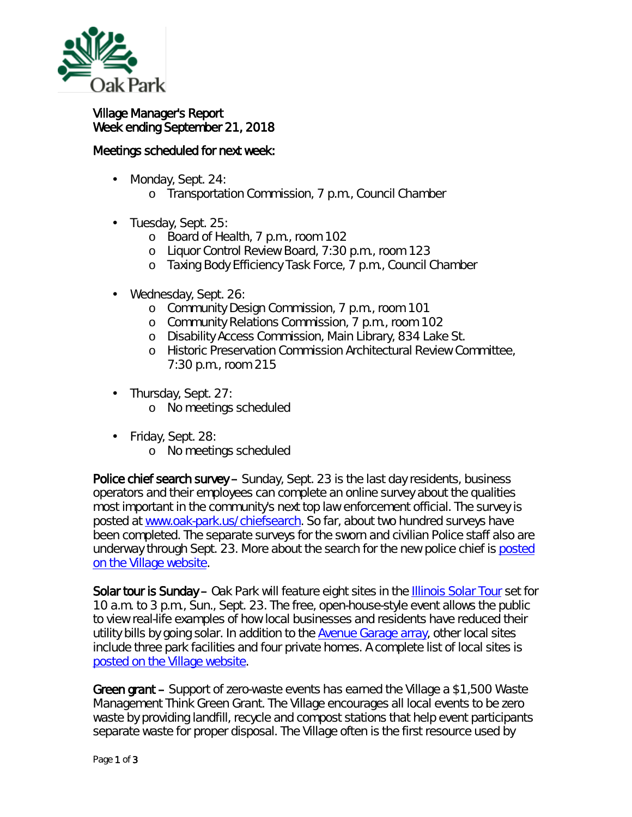

## Village Manager's Report Week ending September 21, 2018

## Meetings scheduled for next week:

- Monday, Sept. 24: ä,
	- o Transportation Commission, 7 p.m., Council Chamber
- ä, Tuesday, Sept. 25:
	- o Board of Health, 7 p.m., room 102
	- o Liquor Control Review Board, 7:30 p.m., room 123
	- o Taxing Body Efficiency Task Force, 7 p.m., Council Chamber
- Wednesday, Sept. 26:
	- o Community Design Commission, 7 p.m., room 101
	- o Community Relations Commission, 7 p.m., room 102
	- o Disability Access Commission, Main Library, 834 Lake St.
	- o Historic Preservation Commission Architectural Review Committee, 7:30 p.m., room 215
- Thursday, Sept. 27:  $\mathbf{r}$ 
	- o No meetings scheduled
- Friday, Sept. 28:  $\epsilon$ 
	- o No meetings scheduled

Police chief search survey – Sunday, Sept. 23 is the last day residents, business operators and their employees can complete an online survey about the qualities most important in the community's next top law enforcement official. The survey is posted at [www.oak-park.us/chiefsearch.](http://r20.rs6.net/tn.jsp?f=001dZKGOQ-CVid5kUNsAgRFrcDxH_bCGD6iEXmJRLlAhraoUczAQZ2bp40A7XE22EPz4pKVBiM_LhSBG7YCpnA0NckLLXS8p6weQs4AFP-vu4O4vaZQMk3C09rpS9mRwUgAUzEUoyVcTuwV0aqFYF_kc-b_6fKJfXmxCf1zIX6xSrX_WYZon1vzjKpVlJvOq_6LDetty07evBiCBqA9VCmcksDKCJyTtwYWtaNaXmSvpuhGuXs0ezLc1uV0tJP0-Evm_wdhnS8edGf-D-IR75SIAdCiuZ8MCuJd1rpmuzz76e1PEIQfbVJN1A==&c=tJNgiqiWMo5xzz4AYwK66jDRR7f9PXs24iW8QNkpkbeY_wws15shOw==&ch=URkHqhLIgPFRQJ9M1HMR2QaNmV9rCGxdelr2HQVOjPmU6rSzA4BRrg==) So far, about two hundred surveys have been completed. The separate surveys for the sworn and civilian Police staff also are underway through Sept. 23. More about the search for the new police chief is posted [on the Village website.](https://www.oak-park.us/news/online-survey-gather-public-input-police-chief-search)

Solar tour is Sunday – Oak Park will feature eight sites in the [Illinois Solar Tour](http://www.illinoissolartour.org/?utm_source=September+20%2C+2018-2&utm_campaign=enews&utm_medium=email) set for 10 a.m. to 3 p.m., Sun., Sept. 23. The free, open-house-style event allows the public to view real-life examples of how local businesses and residents have reduced their utility bills by going solar. In addition to the [Avenue Garage array,](https://www.oak-park.us/your-government/environmental-initiatives/avenue-garage-taps-sun-power) other local sites include three park facilities and four private homes. A complete list of local sites is [posted on the Village website.](https://www.oak-park.us/news/oak-park-sites-participate-illinois-solar-tour?utm_source=September+20%2C+2018-2&utm_campaign=enews&utm_medium=email)

Green grant – Support of zero-waste events has earned the Village a \$1,500 Waste Management *Think Green Grant*. The Village encourages all local events to be zero waste by providing landfill, recycle and compost stations that help event participants separate waste for proper disposal. The Village often is the first resource used by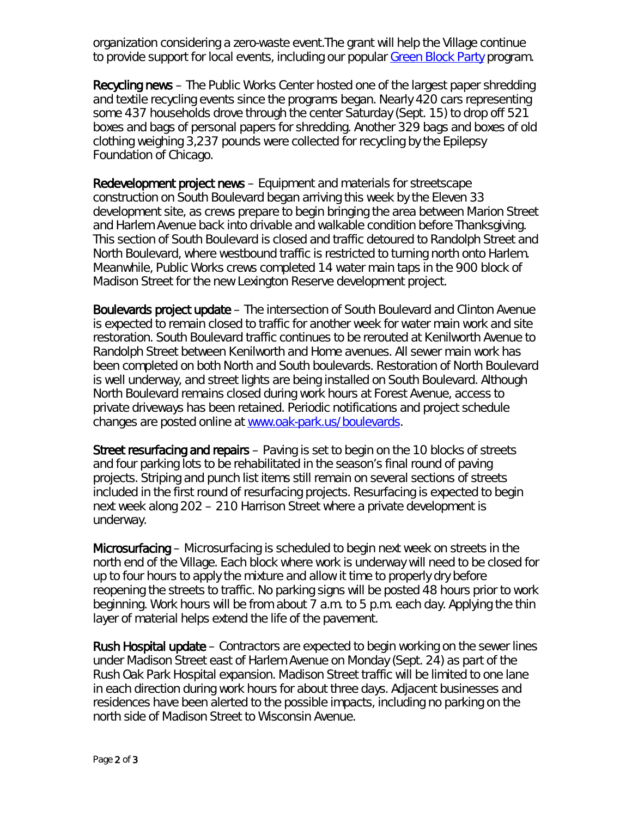organization considering a zero-waste event.The grant will help the Village continue to provide support for local events, including our popular [Green Block Party](https://www.oak-park.us/village-services/refuse-recycling/keep-oak-park-beautiful/green-block-party-request-form) program.

Recycling news – The Public Works Center hosted one of the largest paper shredding and textile recycling events since the programs began. Nearly 420 cars representing some 437 households drove through the center Saturday (Sept. 15) to drop off 521 boxes and bags of personal papers for shredding. Another 329 bags and boxes of old clothing weighing 3,237 pounds were collected for recycling by the Epilepsy Foundation of Chicago.

Redevelopment project news – Equipment and materials for streetscape construction on South Boulevard began arriving this week by the Eleven 33 development site, as crews prepare to begin bringing the area between Marion Street and Harlem Avenue back into drivable and walkable condition before Thanksgiving. This section of South Boulevard is closed and traffic detoured to Randolph Street and North Boulevard, where westbound traffic is restricted to turning north onto Harlem. Meanwhile, Public Works crews completed 14 water main taps in the 900 block of Madison Street for the new Lexington Reserve development project.

Boulevards project update – The intersection of South Boulevard and Clinton Avenue is expected to remain closed to traffic for another week for water main work and site restoration. South Boulevard traffic continues to be rerouted at Kenilworth Avenue to Randolph Street between Kenilworth and Home avenues. All sewer main work has been completed on both North and South boulevards. Restoration of North Boulevard is well underway, and street lights are being installed on South Boulevard. Although North Boulevard remains closed during work hours at Forest Avenue, access to private driveways has been retained. Periodic notifications and project schedule changes are posted online at [www.oak-park.us/boulevards.](http://www.oak-park.us/boulevards)

Street resurfacing and repairs – Paving is set to begin on the 10 blocks of streets and four parking lots to be rehabilitated in the season's final round of paving projects. Striping and punch list items still remain on several sections of streets included in the first round of resurfacing projects. Resurfacing is expected to begin next week along 202 – 210 Harrison Street where a private development is underway.

Microsurfacing – Microsurfacing is scheduled to begin next week on streets in the north end of the Village. Each block where work is underway will need to be closed for up to four hours to apply the mixture and allow it time to properly dry before reopening the streets to traffic. No parking signs will be posted 48 hours prior to work beginning. Work hours will be from about 7 a.m. to 5 p.m. each day. Applying the thin layer of material helps extend the life of the pavement.

Rush Hospital update – Contractors are expected to begin working on the sewer lines under Madison Street east of Harlem Avenue on Monday (Sept. 24) as part of the Rush Oak Park Hospital expansion. Madison Street traffic will be limited to one lane in each direction during work hours for about three days. Adjacent businesses and residences have been alerted to the possible impacts, including no parking on the north side of Madison Street to Wisconsin Avenue.